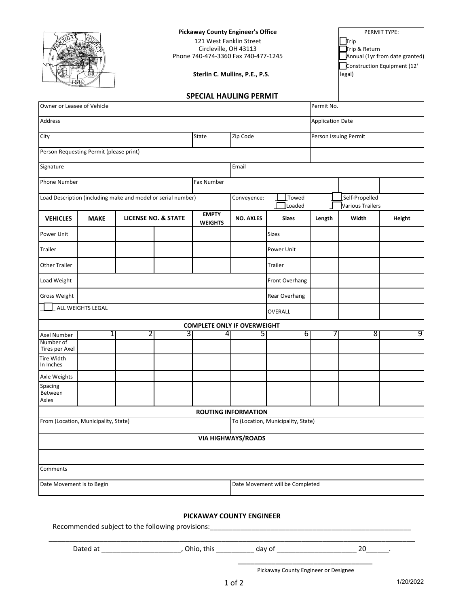|                                                                            |             | <b>Pickaway County Engineer's Office</b><br>121 West Fanklin Street<br>Circleville, OH 43113<br>Phone 740-474-3360 Fax 740-477-1245<br>Sterlin C. Mullins, P.E., P.S. |                                |                                    |                                 |                         |            | PERMIT TYPE:<br>Trip<br>Trip & Return<br>Annual (1yr from date granted)<br>Construction Equipment (12'<br>legal) |        |
|----------------------------------------------------------------------------|-------------|-----------------------------------------------------------------------------------------------------------------------------------------------------------------------|--------------------------------|------------------------------------|---------------------------------|-------------------------|------------|------------------------------------------------------------------------------------------------------------------|--------|
| Owner or Leasee of Vehicle                                                 |             |                                                                                                                                                                       |                                | <b>SPECIAL HAULING PERMIT</b>      |                                 |                         | Permit No. |                                                                                                                  |        |
| <b>Address</b>                                                             |             |                                                                                                                                                                       |                                |                                    |                                 | <b>Application Date</b> |            |                                                                                                                  |        |
|                                                                            |             |                                                                                                                                                                       |                                |                                    |                                 |                         |            |                                                                                                                  |        |
| City                                                                       |             |                                                                                                                                                                       |                                | State                              | Zip Code                        |                         |            | Person Issuing Permit                                                                                            |        |
| Person Requesting Permit (please print)                                    |             |                                                                                                                                                                       |                                |                                    |                                 |                         |            |                                                                                                                  |        |
| Signature                                                                  |             |                                                                                                                                                                       |                                |                                    | Email                           |                         |            |                                                                                                                  |        |
| <b>Phone Number</b><br>Fax Number                                          |             |                                                                                                                                                                       |                                |                                    |                                 |                         |            |                                                                                                                  |        |
| Load Description (including make and model or serial number)               |             |                                                                                                                                                                       |                                |                                    | Towed<br>Conveyence:<br>Loaded  |                         |            | Self-Propelled<br>Various Trailers                                                                               |        |
| <b>VEHICLES</b>                                                            | <b>MAKE</b> |                                                                                                                                                                       | <b>LICENSE NO. &amp; STATE</b> | <b>EMPTY</b><br><b>WEIGHTS</b>     | <b>NO. AXLES</b>                | <b>Sizes</b>            | Length     | Width                                                                                                            | Height |
| Power Unit                                                                 |             |                                                                                                                                                                       |                                |                                    |                                 | <b>Sizes</b>            |            |                                                                                                                  |        |
| Trailer                                                                    |             |                                                                                                                                                                       |                                |                                    |                                 | Power Unit              |            |                                                                                                                  |        |
| Other Trailer                                                              |             |                                                                                                                                                                       |                                |                                    |                                 | Trailer                 |            |                                                                                                                  |        |
| Load Weight                                                                |             |                                                                                                                                                                       |                                |                                    |                                 | Front Overhang          |            |                                                                                                                  |        |
| <b>Gross Weight</b>                                                        |             |                                                                                                                                                                       |                                |                                    |                                 | Rear Overhang           |            |                                                                                                                  |        |
| ALL WEIGHTS LEGAL                                                          |             |                                                                                                                                                                       |                                |                                    |                                 | OVERALL                 |            |                                                                                                                  |        |
|                                                                            |             |                                                                                                                                                                       |                                | <b>COMPLETE ONLY IF OVERWEIGHT</b> |                                 |                         |            |                                                                                                                  |        |
| <b>Axel Number</b><br>Number of<br>Tires per Axel                          | 1           | 2                                                                                                                                                                     | 3                              | $\overline{a}$                     | 5                               | 6                       | 7          | 8                                                                                                                | 9      |
| <b>Tire Width</b><br>In Inches                                             |             |                                                                                                                                                                       |                                |                                    |                                 |                         |            |                                                                                                                  |        |
| Axle Weights                                                               |             |                                                                                                                                                                       |                                |                                    |                                 |                         |            |                                                                                                                  |        |
| Spacing<br>Between<br>Axles                                                |             |                                                                                                                                                                       |                                |                                    |                                 |                         |            |                                                                                                                  |        |
|                                                                            |             |                                                                                                                                                                       |                                |                                    | <b>ROUTING INFORMATION</b>      |                         |            |                                                                                                                  |        |
| To (Location, Municipality, State)<br>From (Location, Municipality, State) |             |                                                                                                                                                                       |                                |                                    |                                 |                         |            |                                                                                                                  |        |
|                                                                            |             |                                                                                                                                                                       |                                |                                    | <b>VIA HIGHWAYS/ROADS</b>       |                         |            |                                                                                                                  |        |
|                                                                            |             |                                                                                                                                                                       |                                |                                    |                                 |                         |            |                                                                                                                  |        |
| Comments                                                                   |             |                                                                                                                                                                       |                                |                                    |                                 |                         |            |                                                                                                                  |        |
| Date Movement is to Begin                                                  |             |                                                                                                                                                                       |                                |                                    | Date Movement will be Completed |                         |            |                                                                                                                  |        |

## **PICKAWAY COUNTY ENGINEER**

\_\_\_\_\_\_\_\_\_\_\_\_\_\_\_\_\_\_\_\_\_\_\_\_\_\_\_\_\_\_\_\_\_\_\_\_\_\_\_\_\_\_\_\_\_\_\_\_\_\_\_\_\_\_\_\_\_\_\_\_\_\_\_\_\_\_\_\_\_\_\_\_\_\_\_\_\_\_\_\_\_\_\_\_\_\_\_

Recommended subject to the following provisions: \_\_\_\_\_\_\_\_\_\_\_\_\_\_\_\_\_\_\_\_\_\_\_\_\_\_\_\_\_\_\_

Dated at \_\_\_\_\_\_\_\_\_\_\_\_\_\_\_\_\_\_\_\_\_\_\_\_\_\_\_\_\_\_, Ohio, this \_\_\_\_\_\_\_\_\_\_\_\_\_\_\_ day of \_\_\_\_\_\_\_\_\_\_\_\_\_\_\_\_\_\_\_\_\_\_\_\_\_\_\_\_\_\_\_ 20\_\_\_\_\_\_\_.

Pickaway County Engineer or Designee \_\_\_\_\_\_\_\_\_\_\_\_\_\_\_\_\_\_\_\_\_\_\_\_\_\_\_\_\_\_\_\_